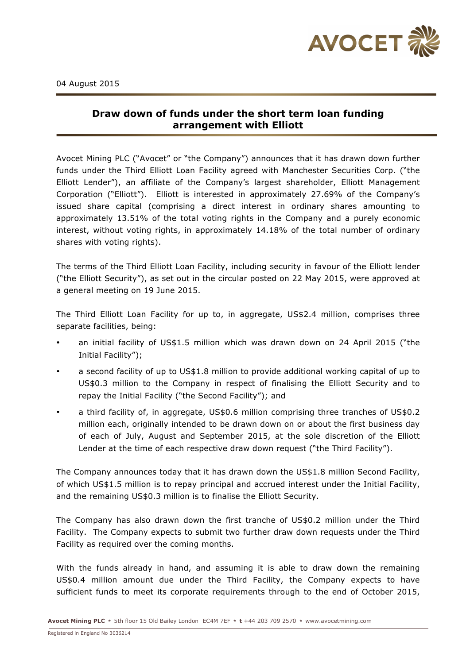

## **Draw down of funds under the short term loan funding arrangement with Elliott**

Avocet Mining PLC ("Avocet" or "the Company") announces that it has drawn down further funds under the Third Elliott Loan Facility agreed with Manchester Securities Corp. ("the Elliott Lender"), an affiliate of the Company's largest shareholder, Elliott Management Corporation ("Elliott"). Elliott is interested in approximately 27.69% of the Company's issued share capital (comprising a direct interest in ordinary shares amounting to approximately 13.51% of the total voting rights in the Company and a purely economic interest, without voting rights, in approximately 14.18% of the total number of ordinary shares with voting rights).

The terms of the Third Elliott Loan Facility, including security in favour of the Elliott lender ("the Elliott Security"), as set out in the circular posted on 22 May 2015, were approved at a general meeting on 19 June 2015.

The Third Elliott Loan Facility for up to, in aggregate, US\$2.4 million, comprises three separate facilities, being:

- an initial facility of US\$1.5 million which was drawn down on 24 April 2015 ("the Initial Facility");
- a second facility of up to US\$1.8 million to provide additional working capital of up to US\$0.3 million to the Company in respect of finalising the Elliott Security and to repay the Initial Facility ("the Second Facility"); and
- a third facility of, in aggregate, US\$0.6 million comprising three tranches of US\$0.2 million each, originally intended to be drawn down on or about the first business day of each of July, August and September 2015, at the sole discretion of the Elliott Lender at the time of each respective draw down request ("the Third Facility").

The Company announces today that it has drawn down the US\$1.8 million Second Facility, of which US\$1.5 million is to repay principal and accrued interest under the Initial Facility, and the remaining US\$0.3 million is to finalise the Elliott Security.

The Company has also drawn down the first tranche of US\$0.2 million under the Third Facility. The Company expects to submit two further draw down requests under the Third Facility as required over the coming months.

With the funds already in hand, and assuming it is able to draw down the remaining US\$0.4 million amount due under the Third Facility, the Company expects to have sufficient funds to meet its corporate requirements through to the end of October 2015,